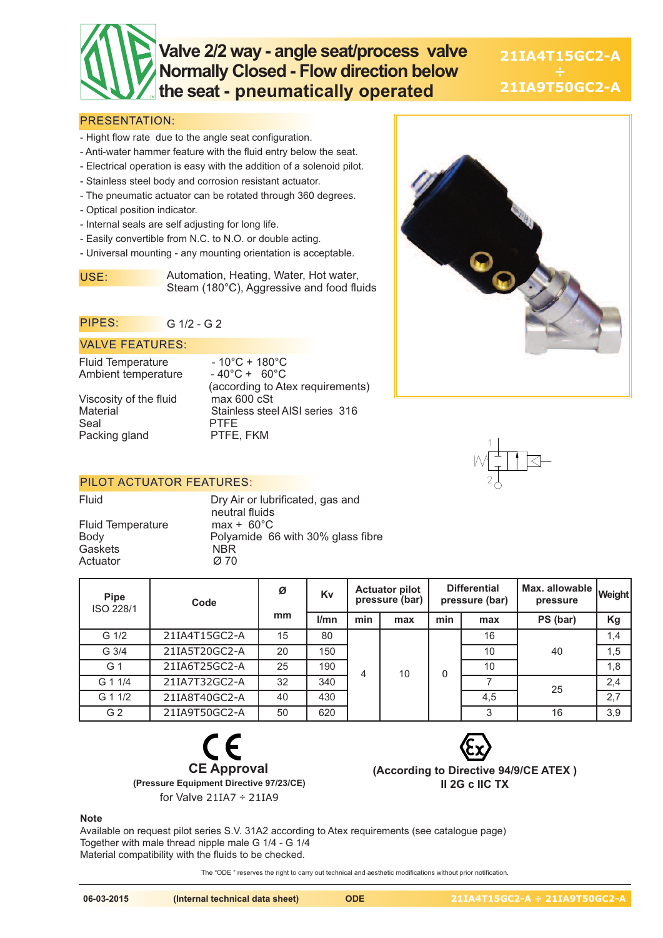# **Valve 2/2 way - angle seat/process valve Normally Closed - Flow direction below the seat - pneumatically operated**

**21IA4T15GC2-A 21IA9T50GC2-A**

### PRESENTATION:

- Hight flow rate due to the angle seat configuration.
- Anti-water hammer feature with the fluid entry below the seat.
- Electrical operation is easy with the addition of a solenoid pilot.
- Stainless steel body and corrosion resistant actuator.
- The pneumatic actuator can be rotated through 360 degrees.
- Optical position indicator.
- Internal seals are self adjusting for long life.
- Easily convertible from N.C. to N.O. or double acting.
- Universal mounting any mounting orientation is acceptable.

USE: Automation, Heating, Water, Hot water, Steam (180°C), Aggressive and food fluids

#### PIPES: G 1/2 - G 2

#### VALVE FEATURES:

Fluid Temperature - 10°C + 180°C<br>Ambient temperature - 40°C + 60°C Ambient temperature

Viscosity of the fluid<br>Material Seal PTFE<br>Packing gland PTFE, FKM Packing gland

(according to Atex requirements) Stainless steel AISI series 316

#### PILOT ACTUATOR FEATURES:

Fluid Temperature max + 60°C Gaskets NBR<br>Actuator Ø70 Actuator

Fluid Dry Air or lubrificated, gas and neutral fluids Polyamide 66 with 30% glass fibre

| Pipe<br>ISO 228/1 | Code          | Ø  | Kv   | <b>Actuator pilot</b><br>pressure (bar) |     | <b>Differential</b><br>pressure (bar) |     | I Max. allowable Weight<br>pressure |     |
|-------------------|---------------|----|------|-----------------------------------------|-----|---------------------------------------|-----|-------------------------------------|-----|
|                   |               | mm | l/mn | min                                     | max | min                                   | max | PS (bar)                            | Kg  |
| G <sub>1/2</sub>  | 21IA4T15GC2-A | 15 | 80   |                                         | 10  | 0                                     | 16  | 40                                  | 1,4 |
| G 3/4             | 21IA5T20GC2-A | 20 | 150  |                                         |     |                                       | 10  |                                     | 1,5 |
| G 1               | 21IA6T25GC2-A | 25 | 190  | 4                                       |     |                                       | 10  |                                     | 1,8 |
| G 1 1/4           | 21IA7T32GC2-A | 32 | 340  |                                         |     |                                       |     | 25                                  | 2,4 |
| G 1 1/2           | 21IA8T40GC2-A | 40 | 430  |                                         |     |                                       | 4,5 |                                     | 2,7 |
| G 2               | 21IA9T50GC2-A | 50 | 620  |                                         |     |                                       | 3   | 16                                  | 3,9 |





**(According to Directive 94/9/CE ATEX ) II 2G c IIC TX**

#### **Note**

Available on request pilot series S.V. 31A2 according to Atex requirements (see catalogue page) Together with male thread nipple male G 1/4 - G 1/4 Material compatibility with the fluids to be checked.

The "ODE " reserves the right to carry out technical and aesthetic modifications without prior notification.